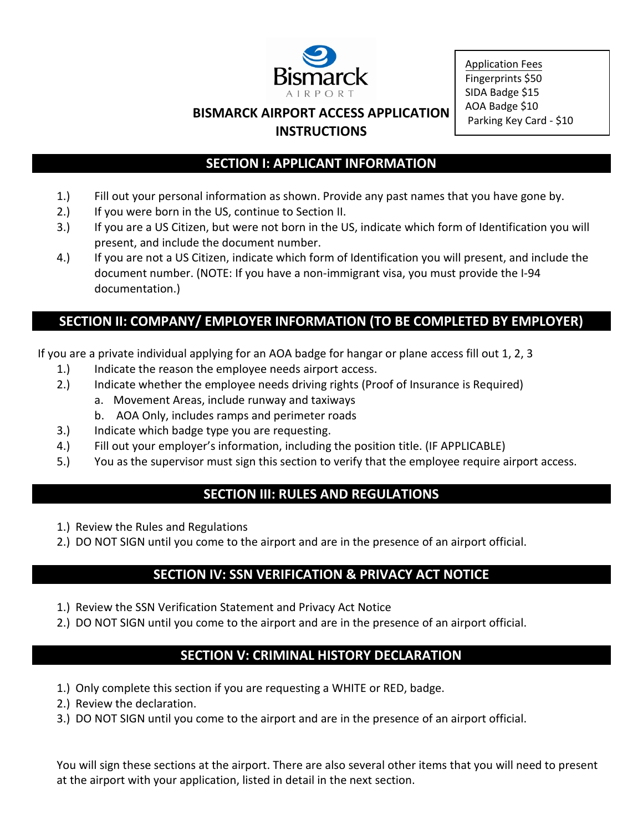

Application Fees Fingerprints \$50 SIDA Badge \$15 AOA Badge \$10 Parking Key Card - \$10

#### **BISMARCK AIRPORT ACCESS APPLICATION INSTRUCTIONS**

#### **SECTION I: APPLICANT INFORMATION**

- 1.) Fill out your personal information as shown. Provide any past names that you have gone by.
- 2.) If you were born in the US, continue to Section II.
- 3.) If you are a US Citizen, but were not born in the US, indicate which form of Identification you will present, and include the document number.
- 4.) If you are not a US Citizen, indicate which form of Identification you will present, and include the document number. (NOTE: If you have a non-immigrant visa, you must provide the I-94 documentation.)

#### **SECTION II: COMPANY/ EMPLOYER INFORMATION (TO BE COMPLETED BY EMPLOYER)**

If you are a private individual applying for an AOA badge for hangar or plane access fill out 1, 2, 3

- 1.) Indicate the reason the employee needs airport access.
- 2.) Indicate whether the employee needs driving rights (Proof of Insurance is Required)
	- a. Movement Areas, include runway and taxiways
	- b. AOA Only, includes ramps and perimeter roads
- 3.) Indicate which badge type you are requesting.
- 4.) Fill out your employer's information, including the position title. (IF APPLICABLE)
- 5.) You as the supervisor must sign this section to verify that the employee require airport access.

## **SECTION III: RULES AND REGULATIONS**

- 1.) Review the Rules and Regulations
- 2.) DO NOT SIGN until you come to the airport and are in the presence of an airport official.

#### **SECTION IV: SSN VERIFICATION & PRIVACY ACT NOTICE**

- 1.) Review the SSN Verification Statement and Privacy Act Notice
- 2.) DO NOT SIGN until you come to the airport and are in the presence of an airport official.

## **SECTION V: CRIMINAL HISTORY DECLARATION**

- 1.) Only complete this section if you are requesting a WHITE or RED, badge.
- 2.) Review the declaration.
- 3.) DO NOT SIGN until you come to the airport and are in the presence of an airport official.

You will sign these sections at the airport. There are also several other items that you will need to present at the airport with your application, listed in detail in the next section.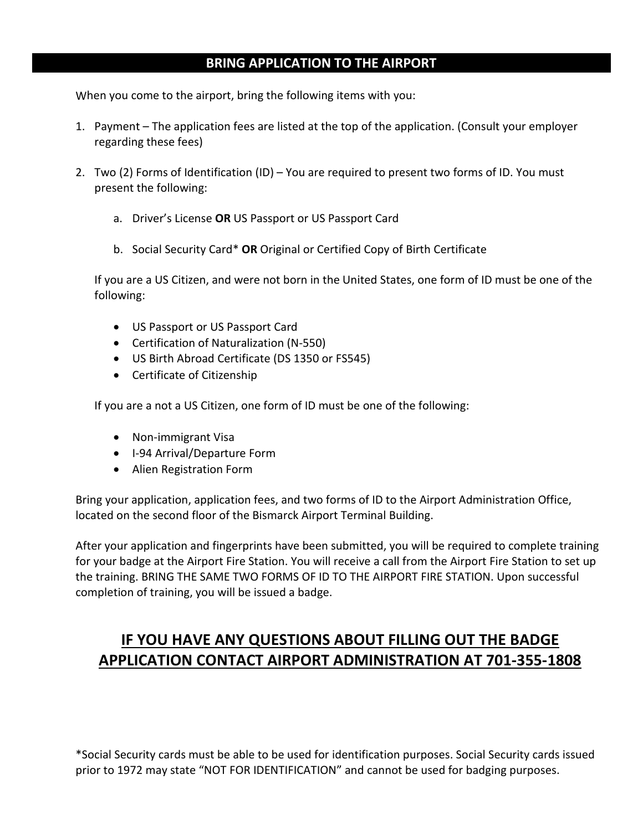#### **BRING APPLICATION TO THE AIRPORT**

When you come to the airport, bring the following items with you:

- 1. Payment The application fees are listed at the top of the application. (Consult your employer regarding these fees)
- 2. Two (2) Forms of Identification (ID) You are required to present two forms of ID. You must present the following:
	- a. Driver's License **OR** US Passport or US Passport Card
	- b. Social Security Card\* **OR** Original or Certified Copy of Birth Certificate

If you are a US Citizen, and were not born in the United States, one form of ID must be one of the following:

- US Passport or US Passport Card
- Certification of Naturalization (N-550)
- US Birth Abroad Certificate (DS 1350 or FS545)
- Certificate of Citizenship

If you are a not a US Citizen, one form of ID must be one of the following:

- Non-immigrant Visa
- I-94 Arrival/Departure Form
- Alien Registration Form

Bring your application, application fees, and two forms of ID to the Airport Administration Office, located on the second floor of the Bismarck Airport Terminal Building.

After your application and fingerprints have been submitted, you will be required to complete training for your badge at the Airport Fire Station. You will receive a call from the Airport Fire Station to set up the training. BRING THE SAME TWO FORMS OF ID TO THE AIRPORT FIRE STATION. Upon successful completion of training, you will be issued a badge.

# **IF YOU HAVE ANY QUESTIONS ABOUT FILLING OUT THE BADGE APPLICATION CONTACT AIRPORT ADMINISTRATION AT 701-355-1808**

\*Social Security cards must be able to be used for identification purposes. Social Security cards issued prior to 1972 may state "NOT FOR IDENTIFICATION" and cannot be used for badging purposes.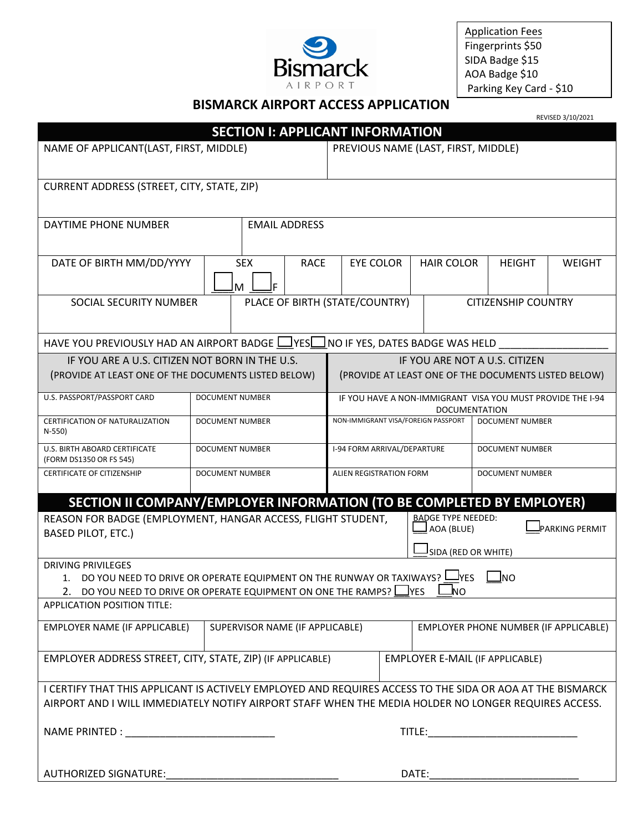

Application Fees Fingerprints \$50 SIDA Badge \$15 AOA Badge \$10 Parking Key Card - \$10

#### **BISMARCK AIRPORT ACCESS APPLICATION**

|                                                                                                                                                                                           |                                                              |                                                                                    |                                                               |                                       | REVISED 3/10/2021 |  |  |  |
|-------------------------------------------------------------------------------------------------------------------------------------------------------------------------------------------|--------------------------------------------------------------|------------------------------------------------------------------------------------|---------------------------------------------------------------|---------------------------------------|-------------------|--|--|--|
|                                                                                                                                                                                           | <b>SECTION I: APPLICANT INFORMATION</b>                      |                                                                                    |                                                               |                                       |                   |  |  |  |
| NAME OF APPLICANT(LAST, FIRST, MIDDLE)                                                                                                                                                    |                                                              | PREVIOUS NAME (LAST, FIRST, MIDDLE)                                                |                                                               |                                       |                   |  |  |  |
| CURRENT ADDRESS (STREET, CITY, STATE, ZIP)                                                                                                                                                |                                                              |                                                                                    |                                                               |                                       |                   |  |  |  |
| DAYTIME PHONE NUMBER                                                                                                                                                                      | <b>EMAIL ADDRESS</b>                                         |                                                                                    |                                                               |                                       |                   |  |  |  |
| DATE OF BIRTH MM/DD/YYYY                                                                                                                                                                  | <b>SEX</b><br><b>RACE</b><br>ΙF<br>M                         | <b>EYE COLOR</b>                                                                   | <b>HAIR COLOR</b>                                             | <b>HEIGHT</b>                         | <b>WEIGHT</b>     |  |  |  |
| SOCIAL SECURITY NUMBER                                                                                                                                                                    | PLACE OF BIRTH (STATE/COUNTRY)<br><b>CITIZENSHIP COUNTRY</b> |                                                                                    |                                                               |                                       |                   |  |  |  |
| HAVE YOU PREVIOUSLY HAD AN AIRPORT BADGE LIVESLINO IF YES, DATES BADGE WAS HELD                                                                                                           |                                                              |                                                                                    |                                                               |                                       |                   |  |  |  |
| IF YOU ARE A U.S. CITIZEN NOT BORN IN THE U.S.                                                                                                                                            |                                                              | IF YOU ARE NOT A U.S. CITIZEN                                                      |                                                               |                                       |                   |  |  |  |
| (PROVIDE AT LEAST ONE OF THE DOCUMENTS LISTED BELOW)                                                                                                                                      |                                                              | (PROVIDE AT LEAST ONE OF THE DOCUMENTS LISTED BELOW)                               |                                                               |                                       |                   |  |  |  |
| U.S. PASSPORT/PASSPORT CARD                                                                                                                                                               | <b>DOCUMENT NUMBER</b>                                       | IF YOU HAVE A NON-IMMIGRANT VISA YOU MUST PROVIDE THE I-94<br><b>DOCUMENTATION</b> |                                                               |                                       |                   |  |  |  |
| CERTIFICATION OF NATURALIZATION<br>N-550)                                                                                                                                                 | <b>DOCUMENT NUMBER</b>                                       |                                                                                    | NON-IMMIGRANT VISA/FOREIGN PASSPORT<br><b>DOCUMENT NUMBER</b> |                                       |                   |  |  |  |
| U.S. BIRTH ABOARD CERTIFICATE<br>(FORM DS1350 OR FS 545)                                                                                                                                  | <b>DOCUMENT NUMBER</b>                                       | I-94 FORM ARRIVAL/DEPARTURE                                                        | DOCUMENT NUMBER                                               |                                       |                   |  |  |  |
| <b>CERTIFICATE OF CITIZENSHIP</b>                                                                                                                                                         | <b>DOCUMENT NUMBER</b>                                       | ALIEN REGISTRATION FORM<br>DOCUMENT NUMBER                                         |                                                               |                                       |                   |  |  |  |
| SECTION II COMPANY/EMPLOYER INFORMATION (TO BE COMPLETED BY EMPLOYER)                                                                                                                     |                                                              |                                                                                    |                                                               |                                       |                   |  |  |  |
| REASON FOR BADGE (EMPLOYMENT, HANGAR ACCESS, FLIGHT STUDENT,<br><b>BASED PILOT, ETC.)</b>                                                                                                 |                                                              | <b>BADGE TYPE NEEDED:</b><br>AOA (BLUE)                                            |                                                               | <b>PARKING PERMIT</b>                 |                   |  |  |  |
|                                                                                                                                                                                           |                                                              | SIDA (RED OR WHITE)                                                                |                                                               |                                       |                   |  |  |  |
| <b>DRIVING PRIVILEGES</b>                                                                                                                                                                 |                                                              |                                                                                    |                                                               |                                       |                   |  |  |  |
| DO YOU NEED TO DRIVE OR OPERATE EQUIPMENT ON THE RUNWAY OR TAXIWAYS? L<br><b>J</b> YES<br><b>J</b> NO<br>1.<br>2. DO YOU NEED TO DRIVE OR OPERATE EQUIPMENT ON ONE THE RAMPS? LVES<br>UNL |                                                              |                                                                                    |                                                               |                                       |                   |  |  |  |
| <b>APPLICATION POSITION TITLE:</b>                                                                                                                                                        |                                                              |                                                                                    |                                                               |                                       |                   |  |  |  |
| EMPLOYER NAME (IF APPLICABLE)                                                                                                                                                             |                                                              | SUPERVISOR NAME (IF APPLICABLE)                                                    |                                                               | EMPLOYER PHONE NUMBER (IF APPLICABLE) |                   |  |  |  |
| EMPLOYER ADDRESS STREET, CITY, STATE, ZIP) (IF APPLICABLE)<br>EMPLOYER E-MAIL (IF APPLICABLE)                                                                                             |                                                              |                                                                                    |                                                               |                                       |                   |  |  |  |
| I CERTIFY THAT THIS APPLICANT IS ACTIVELY EMPLOYED AND REQUIRES ACCESS TO THE SIDA OR AOA AT THE BISMARCK                                                                                 |                                                              |                                                                                    |                                                               |                                       |                   |  |  |  |
| AIRPORT AND I WILL IMMEDIATELY NOTIFY AIRPORT STAFF WHEN THE MEDIA HOLDER NO LONGER REQUIRES ACCESS.                                                                                      |                                                              |                                                                                    |                                                               |                                       |                   |  |  |  |
|                                                                                                                                                                                           |                                                              |                                                                                    |                                                               |                                       |                   |  |  |  |
| <b>AUTHORIZED SIGNATURE:</b><br>DATE:                                                                                                                                                     |                                                              |                                                                                    |                                                               |                                       |                   |  |  |  |
|                                                                                                                                                                                           |                                                              |                                                                                    |                                                               |                                       |                   |  |  |  |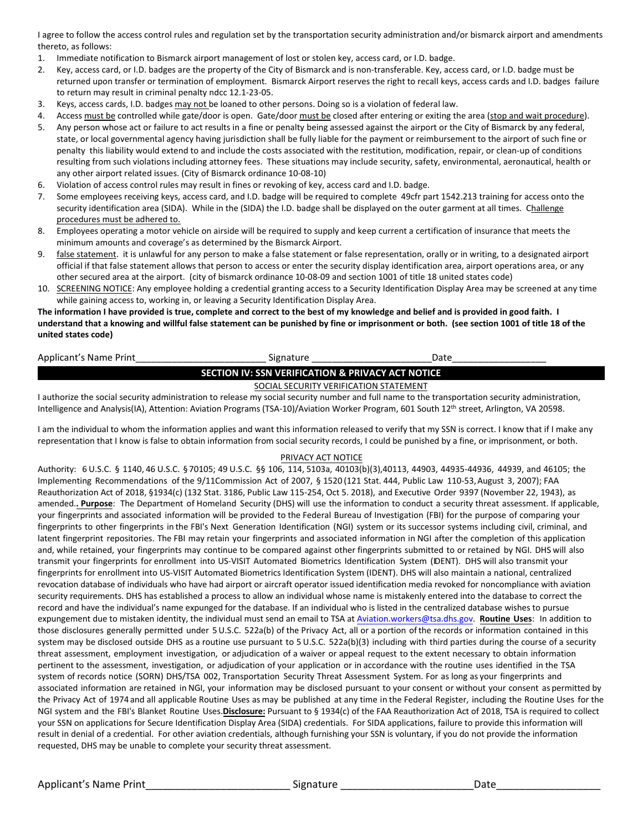I agree to follow the access control rules and regulation set by the transportation security administration and/or bismarck airport and amendments thereto, as follows:

- 1. Immediate notification to Bismarck airport management of lost or stolen key, access card, or I.D. badge.
- 2. Key, access card, or I.D. badges are the property of the City of Bismarck and is non-transferable. Key, access card, or I.D. badge must be returned upon transfer or termination of employment. Bismarck Airport reserves the right to recall keys, access cards and I.D. badges failure to return may result in criminal penalty ndcc 12.1-23-05.
- 3. Keys, access cards, I.D. badges may not be loaned to other persons. Doing so is a violation of federal law.
- 4. Access must be controlled while gate/door is open. Gate/door must be closed after entering or exiting the area (stop and wait procedure).
- 5. Any person whose act or failure to act results in a fine or penalty being assessed against the airport or the City of Bismarck by any federal, state, or local governmental agency having jurisdiction shall be fully liable for the payment or reimbursement to the airport of such fine or penalty this liability would extend to and include the costs associated with the restitution, modification, repair, or clean-up of conditions resulting from such violations including attorney fees. These situations may include security, safety, environmental, aeronautical, health or any other airport related issues. (City of Bismarck ordinance 10-08-10)
- 6. Violation of access control rules may result in fines or revoking of key, access card and I.D. badge.
- 7. Some employees receiving keys, access card, and I.D. badge will be required to complete 49cfr part 1542.213 training for access onto the security identification area (SIDA). While in the (SIDA) the I.D. badge shall be displayed on the outer garment at all times. Challenge procedures must be adhered to.
- 8. Employees operating a motor vehicle on airside will be required to supply and keep current a certification of insurance that meets the minimum amounts and coverage's as determined by the Bismarck Airport.
- 9. false statement. it is unlawful for any person to make a false statement or false representation, orally or in writing, to a designated airport official if that false statement allows that person to access or enter the security display identification area, airport operations area, or any other secured area at the airport. (city of bismarck ordinance 10-08-09 and section 1001 of title 18 united states code)
- 10. SCREENING NOTICE: Any employee holding a credential granting access to a Security Identification Display Area may be screened at any time while gaining access to, working in, or leaving a Security Identification Display Area.

**The information I have provided is true, complete and correct to the best of my knowledge and belief and is provided in good faith. I understand that a knowing and willful false statement can be punished by fine or imprisonment or both. (see section 1001 of title 18 of the united states code)**

| Applicant's Name Print                                       | Signature                              | Jate |  |  |  |  |
|--------------------------------------------------------------|----------------------------------------|------|--|--|--|--|
| <b>SECTION IV: SSN VERIFICATION &amp; PRIVACY ACT NOTICE</b> |                                        |      |  |  |  |  |
|                                                              | SOCIAL SECURITY VERIFICATION STATEMENT |      |  |  |  |  |

I authorize the social security administration to release my social security number and full name to the transportation security administration, Intelligence and Analysis(IA), Attention: Aviation Programs (TSA-10)/Aviation Worker Program, 601 South 12<sup>th</sup> street, Arlington, VA 20598.

I am the individual to whom the information applies and want this information released to verify that my SSN is correct. I know that if I make any representation that I know is false to obtain information from social security records, I could be punished by a fine, or imprisonment, or both.

#### PRIVACY ACT NOTICE

Authority: 6 U.S.C. § 1140, 46 U.S.C. § 70105; 49 U.S.C. §§ 106, 114, 5103a, 40103(b)(3),40113, 44903, 44935-44936, 44939, and 46105; the Implementing Recommendations of the 9/11Commission Act of 2007, § 1520 (121 Stat. 444, Public Law 110-53, August 3, 2007); FAA Reauthorization Act of 2018, §1934(c) (132 Stat. 3186, Public Law 115-254, Oct 5. 2018), and Executive Order 9397 (November 22, 1943), as amended.**. Purpose**: The Department of Homeland Security (DHS) will use the information to conduct a security threat assessment. If applicable, your fingerprints and associated information will be provided to the Federal Bureau of Investigation (FBI) for the purpose of comparing your fingerprints to other fingerprints in the FBI's Next Generation Identification (NGI) system or its successor systems including civil, criminal, and latent fingerprint repositories. The FBI may retain your fingerprints and associated information in NGI after the completion of this application and, while retained, your fingerprints may continue to be compared against other fingerprints submitted to or retained by NGI. DHS will also transmit your fingerprints for enrollment into US-VISIT Automated Biometrics Identification System (IDENT). DHS will also transmit your fingerprints for enrollment into US-VISIT Automated Biometrics Identification System (IDENT). DHS will also maintain a national, centralized revocation database of individuals who have had airport or aircraft operator issued identification media revoked for noncompliance with aviation security requirements. DHS has established a process to allow an individual whose name is mistakenly entered into the database to correct the record and have the individual's name expunged for the database. If an individual who is listed in the centralized database wishes to pursue expungement due to mistaken identity, the individual must send an email to TSA at [Aviation.workers@tsa.dhs.gov.](mailto:Aviation.workers@tsa.dhs.gov) **Routine Uses**: In addition to those disclosures generally permitted under 5 U.S.C. 522a(b) of the Privacy Act, all or a portion ofthe records or information contained in this system may be disclosed outside DHS as a routine use pursuant to 5 U.S.C. 522a(b)(3) including with third parties during the course of a security threat assessment, employment investigation, or adjudication of a waiver or appeal request to the extent necessary to obtain information pertinent to the assessment, investigation, or adjudication of your application or in accordance with the routine uses identified in the TSA system of records notice (SORN) DHS/TSA 002, Transportation Security Threat Assessment System. For as long as your fingerprints and associated information are retained in NGI, your information may be disclosed pursuant to your consent or without your consent as permitted by the Privacy Act of 1974 and all applicable Routine Uses as may be published at any time in the Federal Register, including the Routine Uses for the NGI system and the FBI's Blanket Routine Uses.**Disclosure:** Pursuant to § 1934(c) of the FAA Reauthorization Act of 2018, TSA is required to collect your SSN on applications for Secure Identification Display Area (SIDA) credentials. For SIDA applications, failure to provide this information will result in denial of a credential. For other aviation credentials, although furnishing your SSN is voluntary, if you do not provide the information requested, DHS may be unable to complete your security threat assessment.